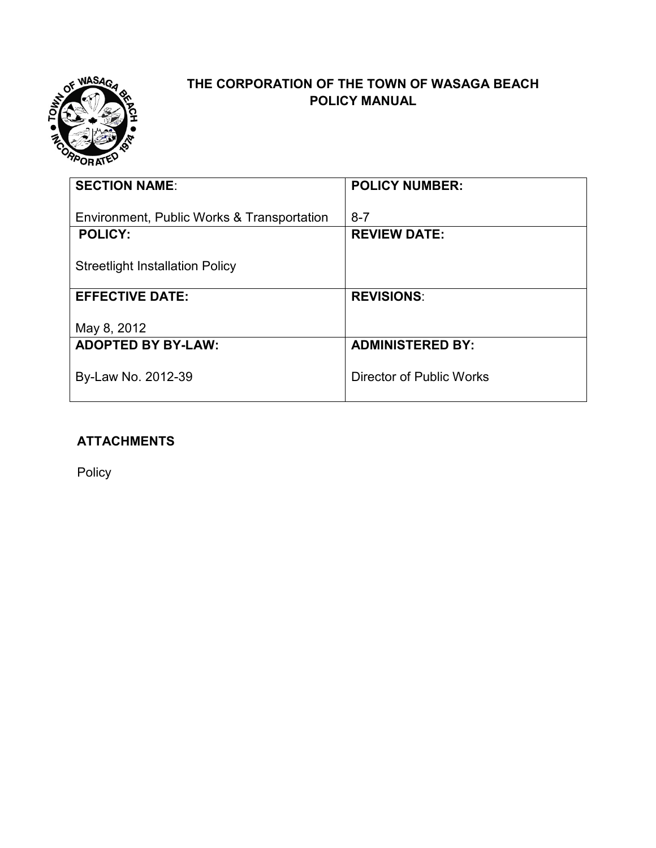

# **THE CORPORATION OF THE TOWN OF WASAGA BEACH POLICY MANUAL**

| <b>SECTION NAME:</b>                                         | <b>POLICY NUMBER:</b>          |
|--------------------------------------------------------------|--------------------------------|
| Environment, Public Works & Transportation<br><b>POLICY:</b> | $8 - 7$<br><b>REVIEW DATE:</b> |
|                                                              |                                |
| <b>Streetlight Installation Policy</b>                       |                                |
| <b>EFFECTIVE DATE:</b>                                       | <b>REVISIONS:</b>              |
| May 8, 2012                                                  |                                |
| <b>ADOPTED BY BY-LAW:</b>                                    | <b>ADMINISTERED BY:</b>        |
| By-Law No. 2012-39                                           | Director of Public Works       |
|                                                              |                                |

## **ATTACHMENTS**

Policy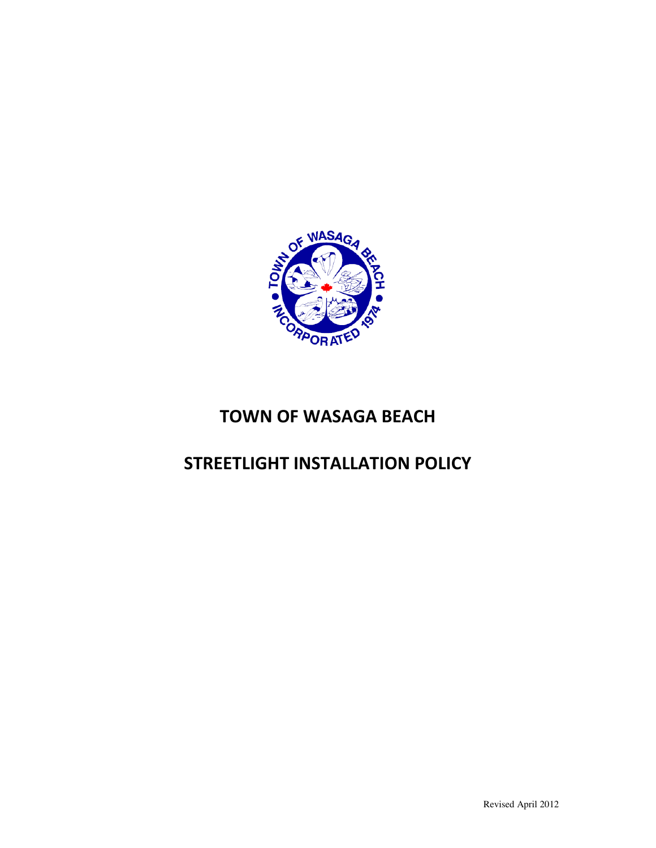

# TOWN OF WASAGA BEACH

# STREETLIGHT INSTALLATION POLICY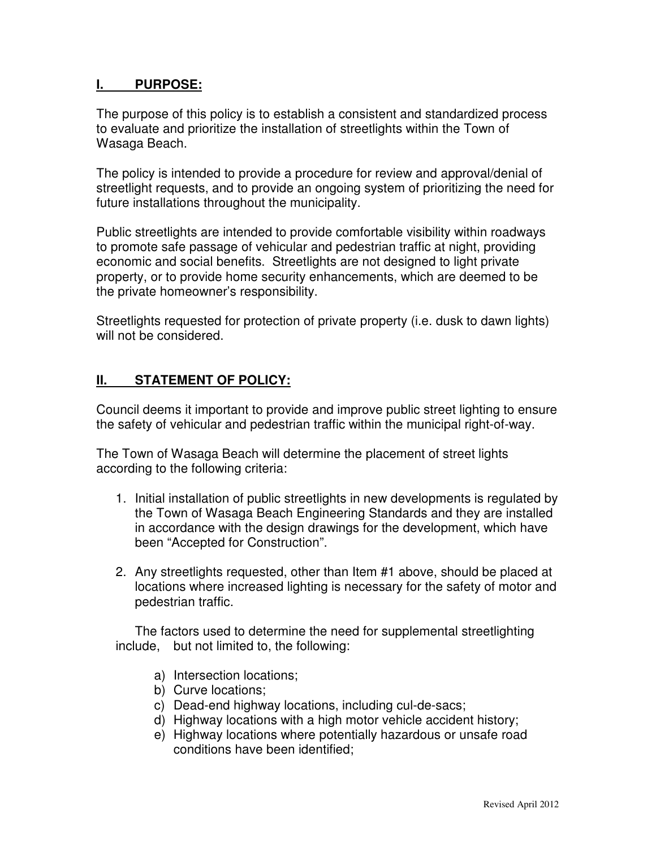#### **I. PURPOSE:**

The purpose of this policy is to establish a consistent and standardized process to evaluate and prioritize the installation of streetlights within the Town of Wasaga Beach.

The policy is intended to provide a procedure for review and approval/denial of streetlight requests, and to provide an ongoing system of prioritizing the need for future installations throughout the municipality.

Public streetlights are intended to provide comfortable visibility within roadways to promote safe passage of vehicular and pedestrian traffic at night, providing economic and social benefits. Streetlights are not designed to light private property, or to provide home security enhancements, which are deemed to be the private homeowner's responsibility.

Streetlights requested for protection of private property (i.e. dusk to dawn lights) will not be considered.

### **II. STATEMENT OF POLICY:**

Council deems it important to provide and improve public street lighting to ensure the safety of vehicular and pedestrian traffic within the municipal right-of-way.

The Town of Wasaga Beach will determine the placement of street lights according to the following criteria:

- 1. Initial installation of public streetlights in new developments is regulated by the Town of Wasaga Beach Engineering Standards and they are installed in accordance with the design drawings for the development, which have been "Accepted for Construction".
- 2. Any streetlights requested, other than Item #1 above, should be placed at locations where increased lighting is necessary for the safety of motor and pedestrian traffic.

 The factors used to determine the need for supplemental streetlighting include, but not limited to, the following:

- a) Intersection locations;
- b) Curve locations;
- c) Dead-end highway locations, including cul-de-sacs;
- d) Highway locations with a high motor vehicle accident history;
- e) Highway locations where potentially hazardous or unsafe road conditions have been identified;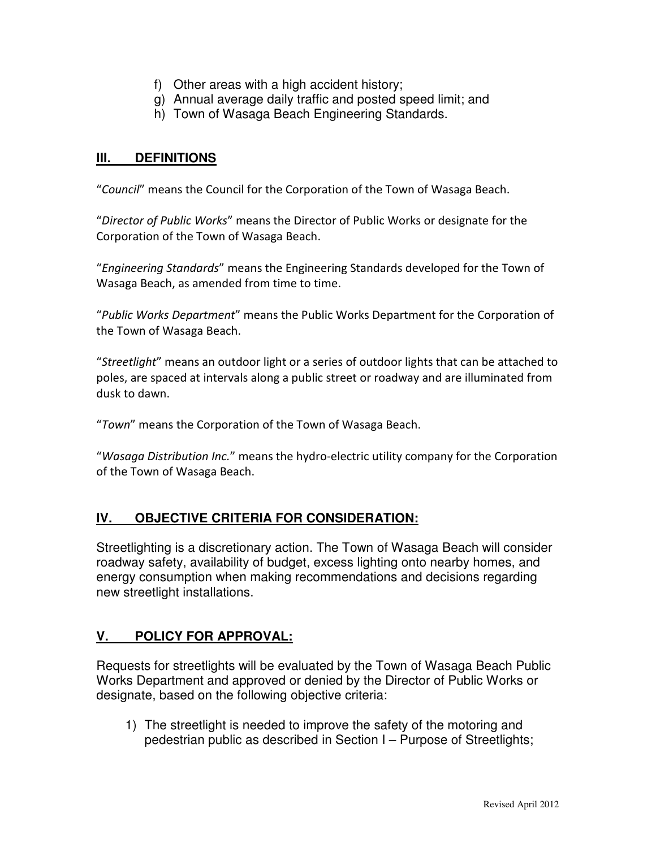- f) Other areas with a high accident history;
- g) Annual average daily traffic and posted speed limit; and
- h) Town of Wasaga Beach Engineering Standards.

### **III. DEFINITIONS**

"Council" means the Council for the Corporation of the Town of Wasaga Beach.

"Director of Public Works" means the Director of Public Works or designate for the Corporation of the Town of Wasaga Beach.

"Engineering Standards" means the Engineering Standards developed for the Town of Wasaga Beach, as amended from time to time.

"Public Works Department" means the Public Works Department for the Corporation of the Town of Wasaga Beach.

"Streetlight" means an outdoor light or a series of outdoor lights that can be attached to poles, are spaced at intervals along a public street or roadway and are illuminated from dusk to dawn.

"Town" means the Corporation of the Town of Wasaga Beach.

"Wasaga Distribution Inc." means the hydro-electric utility company for the Corporation of the Town of Wasaga Beach.

### **IV. OBJECTIVE CRITERIA FOR CONSIDERATION:**

Streetlighting is a discretionary action. The Town of Wasaga Beach will consider roadway safety, availability of budget, excess lighting onto nearby homes, and energy consumption when making recommendations and decisions regarding new streetlight installations.

### **V. POLICY FOR APPROVAL:**

Requests for streetlights will be evaluated by the Town of Wasaga Beach Public Works Department and approved or denied by the Director of Public Works or designate, based on the following objective criteria:

1) The streetlight is needed to improve the safety of the motoring and pedestrian public as described in Section I – Purpose of Streetlights;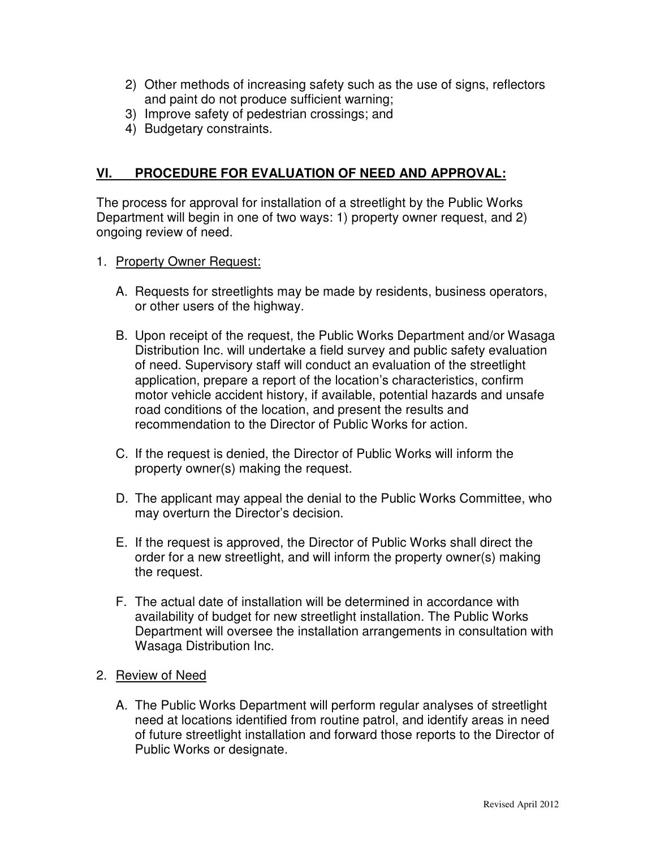- 2) Other methods of increasing safety such as the use of signs, reflectors and paint do not produce sufficient warning;
- 3) Improve safety of pedestrian crossings; and
- 4) Budgetary constraints.

#### **VI. PROCEDURE FOR EVALUATION OF NEED AND APPROVAL:**

The process for approval for installation of a streetlight by the Public Works Department will begin in one of two ways: 1) property owner request, and 2) ongoing review of need.

- 1. Property Owner Request:
	- A. Requests for streetlights may be made by residents, business operators, or other users of the highway.
	- B. Upon receipt of the request, the Public Works Department and/or Wasaga Distribution Inc. will undertake a field survey and public safety evaluation of need. Supervisory staff will conduct an evaluation of the streetlight application, prepare a report of the location's characteristics, confirm motor vehicle accident history, if available, potential hazards and unsafe road conditions of the location, and present the results and recommendation to the Director of Public Works for action.
	- C. If the request is denied, the Director of Public Works will inform the property owner(s) making the request.
	- D. The applicant may appeal the denial to the Public Works Committee, who may overturn the Director's decision.
	- E. If the request is approved, the Director of Public Works shall direct the order for a new streetlight, and will inform the property owner(s) making the request.
	- F. The actual date of installation will be determined in accordance with availability of budget for new streetlight installation. The Public Works Department will oversee the installation arrangements in consultation with Wasaga Distribution Inc.
- 2. Review of Need
	- A. The Public Works Department will perform regular analyses of streetlight need at locations identified from routine patrol, and identify areas in need of future streetlight installation and forward those reports to the Director of Public Works or designate.